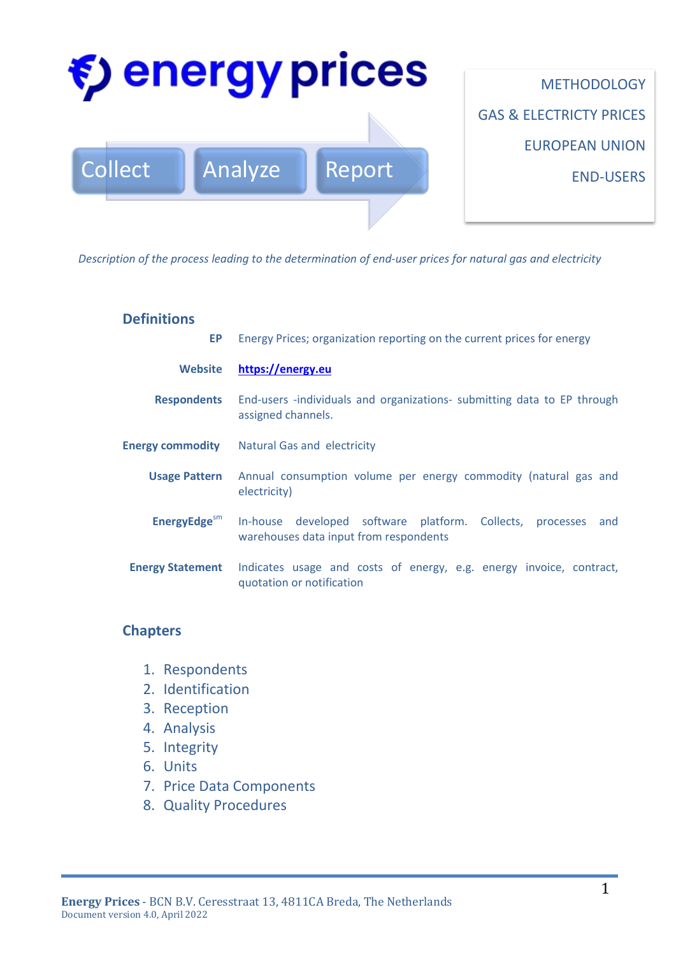

*Description of the process leading to the determination of end-user prices for natural gas and electricity*

#### **Definitions**

| EP.                         | Energy Prices; organization reporting on the current prices for energy                                        |  |  |
|-----------------------------|---------------------------------------------------------------------------------------------------------------|--|--|
| <b>Website</b>              | https://energy.eu                                                                                             |  |  |
| <b>Respondents</b>          | End-users -individuals and organizations- submitting data to EP through<br>assigned channels.                 |  |  |
| <b>Energy commodity</b>     | <b>Natural Gas and electricity</b>                                                                            |  |  |
| <b>Usage Pattern</b>        | Annual consumption volume per energy commodity (natural gas and<br>electricity)                               |  |  |
| EnergyEdge $\mathrm{^{sm}}$ | In-house developed software platform. Collects,<br>and<br>processes<br>warehouses data input from respondents |  |  |
| <b>Energy Statement</b>     | Indicates usage and costs of energy, e.g. energy invoice, contract,<br>quotation or notification              |  |  |

## **Chapters**

- 1. Respondents
- 2. Identification
- 3. Reception
- 4. Analysis
- 5. Integrity
- 6. Units
- 7. Price Data Components
- 8. Quality Procedures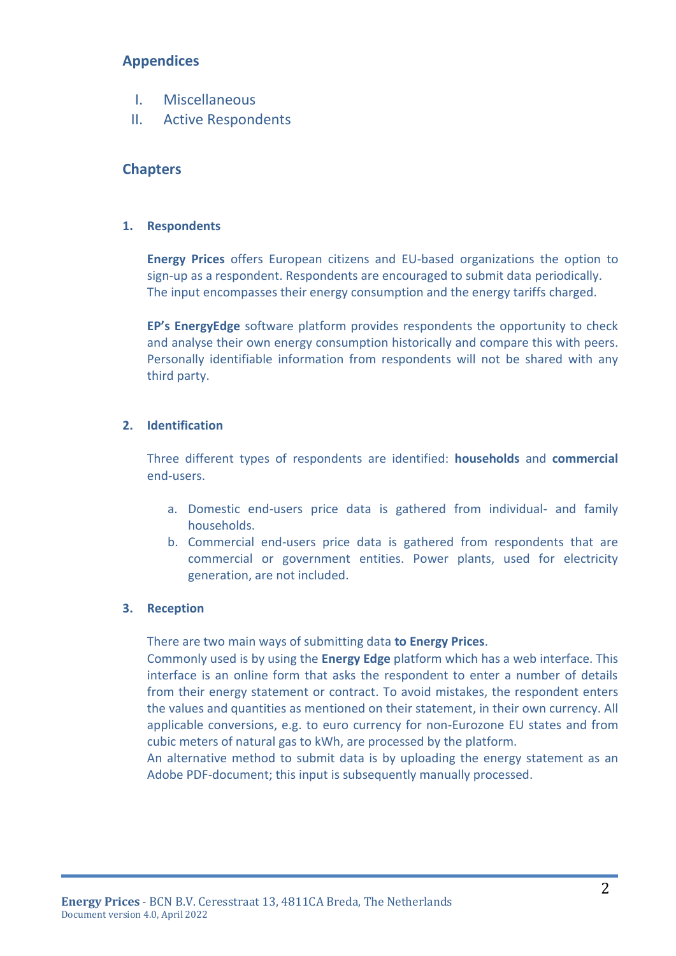## **Appendices**

- I. Miscellaneous
- II. Active Respondents

## **Chapters**

#### **1. Respondents**

**Energy Prices** offers European citizens and EU-based organizations the option to sign-up as a respondent. Respondents are encouraged to submit data periodically. The input encompasses their energy consumption and the energy tariffs charged.

**EP's EnergyEdge** software platform provides respondents the opportunity to check and analyse their own energy consumption historically and compare this with peers. Personally identifiable information from respondents will not be shared with any third party.

#### **2. Identification**

Three different types of respondents are identified: **households** and **commercial** end-users.

- a. Domestic end-users price data is gathered from individual- and family households.
- b. Commercial end-users price data is gathered from respondents that are commercial or government entities. Power plants, used for electricity generation, are not included.

#### **3. Reception**

There are two main ways of submitting data **to Energy Prices**.

Commonly used is by using the **Energy Edge** platform which has a web interface. This interface is an online form that asks the respondent to enter a number of details from their energy statement or contract. To avoid mistakes, the respondent enters the values and quantities as mentioned on their statement, in their own currency. All applicable conversions, e.g. to euro currency for non-Eurozone EU states and from cubic meters of natural gas to kWh, are processed by the platform.

An alternative method to submit data is by uploading the energy statement as an Adobe PDF-document; this input is subsequently manually processed.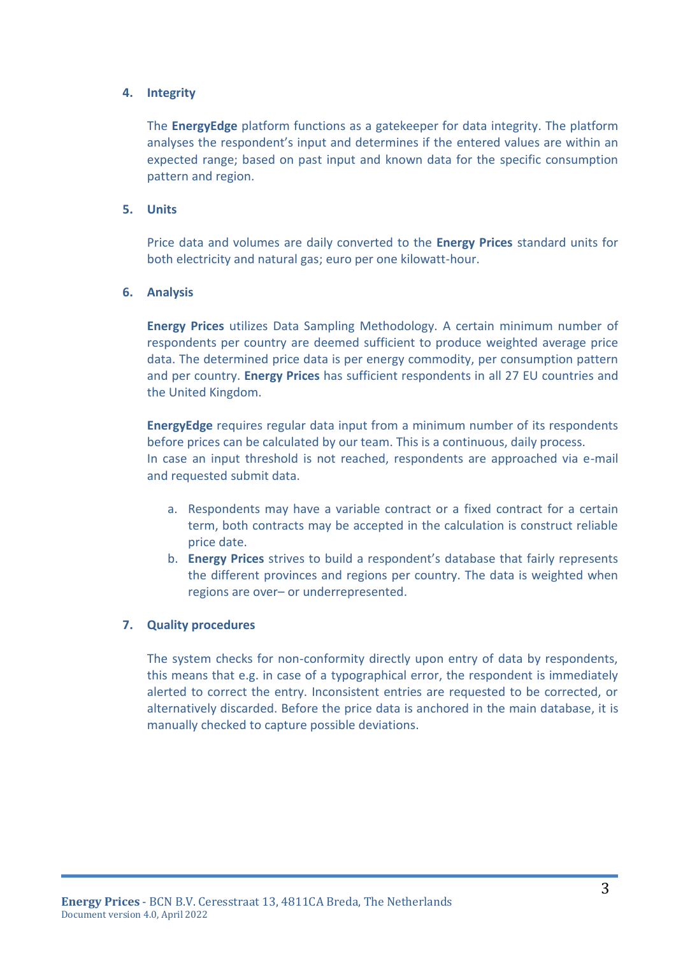#### **4. Integrity**

The **EnergyEdge** platform functions as a gatekeeper for data integrity. The platform analyses the respondent's input and determines if the entered values are within an expected range; based on past input and known data for the specific consumption pattern and region.

#### **5. Units**

Price data and volumes are daily converted to the **Energy Prices** standard units for both electricity and natural gas; euro per one kilowatt-hour.

#### **6. Analysis**

**Energy Prices** utilizes Data Sampling Methodology. A certain minimum number of respondents per country are deemed sufficient to produce weighted average price data. The determined price data is per energy commodity, per consumption pattern and per country. **Energy Prices** has sufficient respondents in all 27 EU countries and the United Kingdom.

**EnergyEdge** requires regular data input from a minimum number of its respondents before prices can be calculated by our team. This is a continuous, daily process. In case an input threshold is not reached, respondents are approached via e-mail and requested submit data.

- a. Respondents may have a variable contract or a fixed contract for a certain term, both contracts may be accepted in the calculation is construct reliable price date.
- b. **Energy Prices** strives to build a respondent's database that fairly represents the different provinces and regions per country. The data is weighted when regions are over– or underrepresented.

#### **7. Quality procedures**

The system checks for non-conformity directly upon entry of data by respondents, this means that e.g. in case of a typographical error, the respondent is immediately alerted to correct the entry. Inconsistent entries are requested to be corrected, or alternatively discarded. Before the price data is anchored in the main database, it is manually checked to capture possible deviations.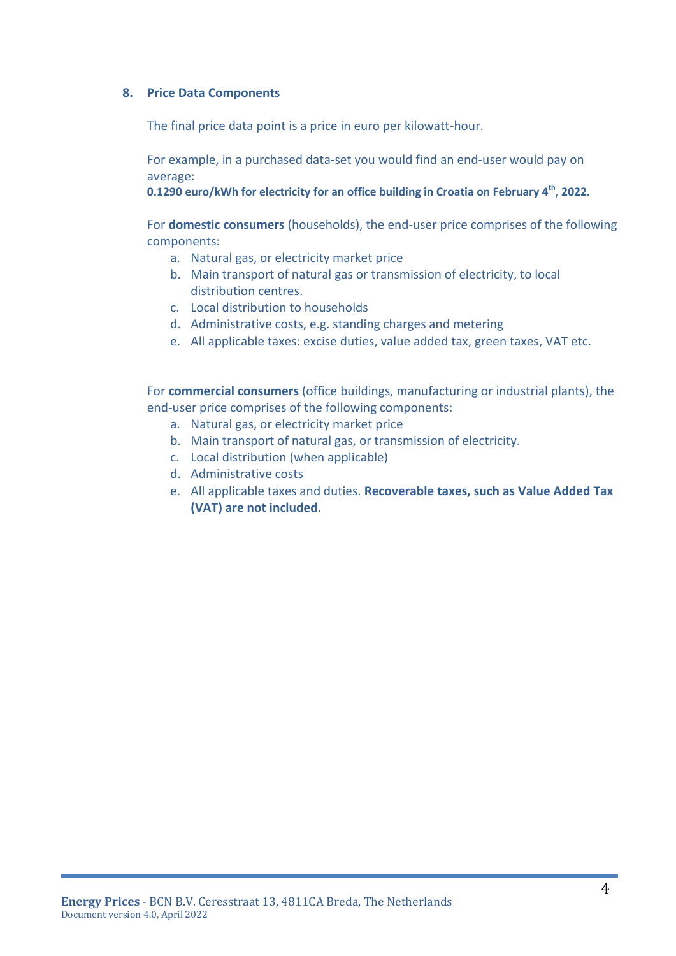#### **8. Price Data Components**

The final price data point is a price in euro per kilowatt-hour.

For example, in a purchased data-set you would find an end-user would pay on average:

**0.1290 euro/kWh for electricity for an office building in Croatia on February 4th , 2022.**

For **domestic consumers** (households), the end-user price comprises of the following components:

- a. Natural gas, or electricity market price
- b. Main transport of natural gas or transmission of electricity, to local distribution centres.
- c. Local distribution to households
- d. Administrative costs, e.g. standing charges and metering
- e. All applicable taxes: excise duties, value added tax, green taxes, VAT etc.

For **commercial consumers** (office buildings, manufacturing or industrial plants), the end-user price comprises of the following components:

- a. Natural gas, or electricity market price
- b. Main transport of natural gas, or transmission of electricity.
- c. Local distribution (when applicable)
- d. Administrative costs
- e. All applicable taxes and duties. **Recoverable taxes, such as Value Added Tax (VAT) are not included.**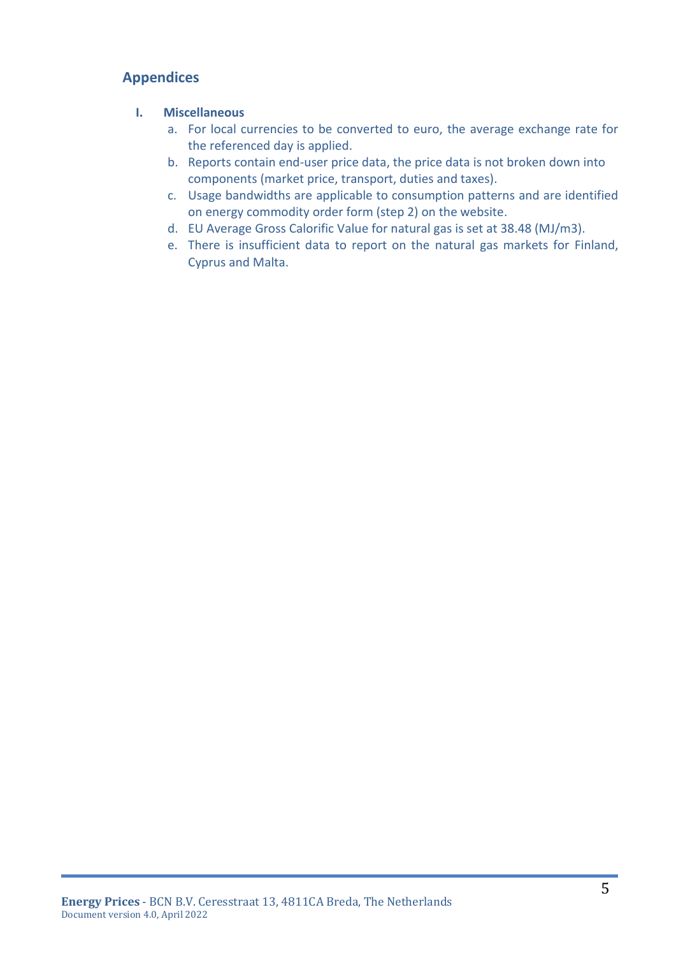# **Appendices**

### **I. Miscellaneous**

- a. For local currencies to be converted to euro, the average exchange rate for the referenced day is applied.
- b. Reports contain end-user price data, the price data is not broken down into components (market price, transport, duties and taxes).
- c. Usage bandwidths are applicable to consumption patterns and are identified on energy commodity order form (step 2) on the website.
- d. EU Average Gross Calorific Value for natural gas is set at 38.48 (MJ/m3).
- e. There is insufficient data to report on the natural gas markets for Finland, Cyprus and Malta.